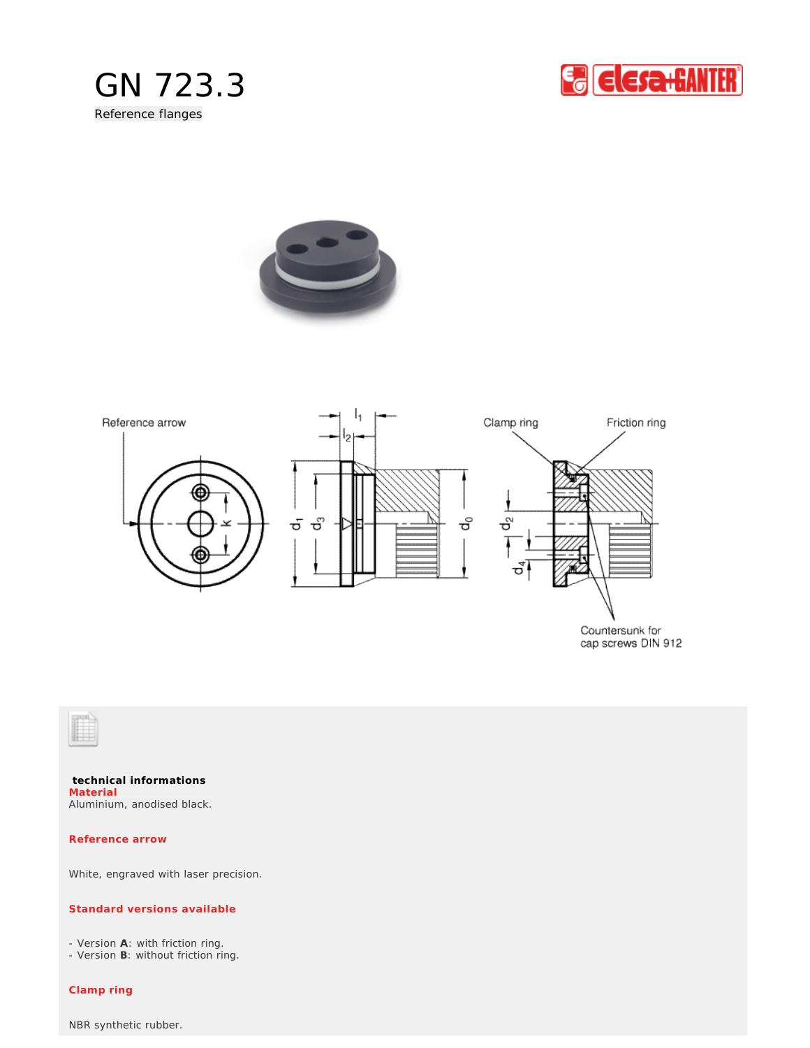







Countersunk for cap screws DIN 912



**technical informations** Aluminium, anodised black. **Material**

**Reference arrow**

White, engraved with laser precision.

## **Standard versions available**

- Version **A**: with friction ring.

- Version **B**: without friction ring.

**Clamp ring**

NBR synthetic rubber.